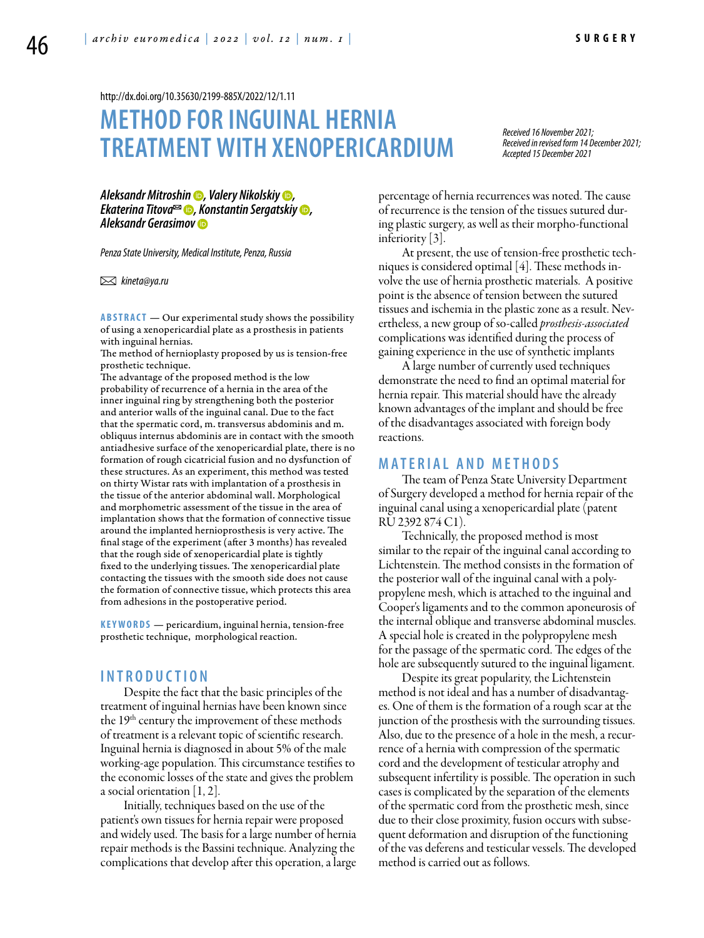<http://dx.doi.org/10.35630/2199-885X/2022/12/1.11>

# **METHOD FOR INGUINAL HERNIA TREATMENT WITH XENOPERICARDIUM**

*Received 16 November 2021; Received in revised form 14 December 2021; Accepted 15 December 2021*

*[Aleksandr Mitroshin](https://orcid.org/0000-0002-2232-129X) , [Valery Nikolskiy](https://orcid.org/0000-0001-5158-9570) , [Ekaterina Titova](https://orcid.org/0000-002-7674-2057) , [Konstantin Sergatskiy](https://orcid.org/0000-0002-3334-8244) , [Aleksandr Gerasimov](https://orcid.org/0000-0002-9453-7380)*

*Penza State University, Medical Institute, Penza, Russia*

 *kineta@ya.ru* 

**ABSTRACT** — Our experimental study shows the possibility of using a xenopericardial plate as a prosthesis in patients with inguinal hernias.

The method of hernioplasty proposed by us is tension-free prosthetic technique.

The advantage of the proposed method is the low probability of recurrence of a hernia in the area of the inner inguinal ring by strengthening both the posterior and anterior walls of the inguinal canal. Due to the fact that the spermatic cord, m. transversus abdominis and m. obliquus internus abdominis are in contact with the smooth antiadhesive surface of the xenopericardial plate, there is no formation of rough cicatricial fusion and no dysfunction of these structures. As an experiment, this method was tested on thirty Wistar rats with implantation of a prosthesis in the tissue of the anterior abdominal wall. Morphological and morphometric assessment of the tissue in the area of implantation shows that the formation of connective tissue around the implanted hernioprosthesis is very active. The final stage of the experiment (after 3 months) has revealed that the rough side of xenopericardial plate is tightly fixed to the underlying tissues. The xenopericardial plate contacting the tissues with the smooth side does not cause the formation of connective tissue, which protects this area from adhesions in the postoperative period.

KEYWORDS — pericardium, inguinal hernia, tension-free prosthetic technique, morphological reaction.

## **I n t r o d u ct i o n**

Despite the fact that the basic principles of the treatment of inguinal hernias have been known since the  $19<sup>th</sup>$  century the improvement of these methods of treatment is a relevant topic of scientific research. Inguinal hernia is diagnosed in about 5% of the male working-age population. This circumstance testifies to the economic losses of the state and gives the problem a social orientation [1, 2].

Initially, techniques based on the use of the patient's own tissues for hernia repair were proposed and widely used. The basis for a large number of hernia repair methods is the Bassini technique. Analyzing the complications that develop after this operation, a large

percentage of hernia recurrences was noted. The cause of recurrence is the tension of the tissues sutured during plastic surgery, as well as their morpho-functional inferiority [3].

At present, the use of tension-free prosthetic techniques is considered optimal [4]. These methods involve the use of hernia prosthetic materials. A positive point is the absence of tension between the sutured tissues and ischemia in the plastic zone as a result. Nevertheless, a new group of so-called *prosthesis-associated* complications was identified during the process of gaining experience in the use of synthetic implants

A large number of currently used techniques demonstrate the need to find an optimal material for hernia repair. This material should have the already known advantages of the implant and should be free of the disadvantages associated with foreign body reactions.

#### **MATERIAL AND METHODS**

The team of Penza State University Department of Surgery developed a method for hernia repair of the inguinal canal using a xenopericardial plate (patent RU 2392 874 C1).

Technically, the proposed method is most similar to the repair of the inguinal canal according to Lichtenstein. The method consists in the formation of the posterior wall of the inguinal canal with a polypropylene mesh, which is attached to the inguinal and Cooper's ligaments and to the common aponeurosis of the internal oblique and transverse abdominal muscles. A special hole is created in the polypropylene mesh for the passage of the spermatic cord. The edges of the hole are subsequently sutured to the inguinal ligament.

Despite its great popularity, the Lichtenstein method is not ideal and has a number of disadvantages. One of them is the formation of a rough scar at the junction of the prosthesis with the surrounding tissues. Also, due to the presence of a hole in the mesh, a recurrence of a hernia with compression of the spermatic cord and the development of testicular atrophy and subsequent infertility is possible. The operation in such cases is complicated by the separation of the elements of the spermatic cord from the prosthetic mesh, since due to their close proximity, fusion occurs with subsequent deformation and disruption of the functioning of the vas deferens and testicular vessels. The developed method is carried out as follows.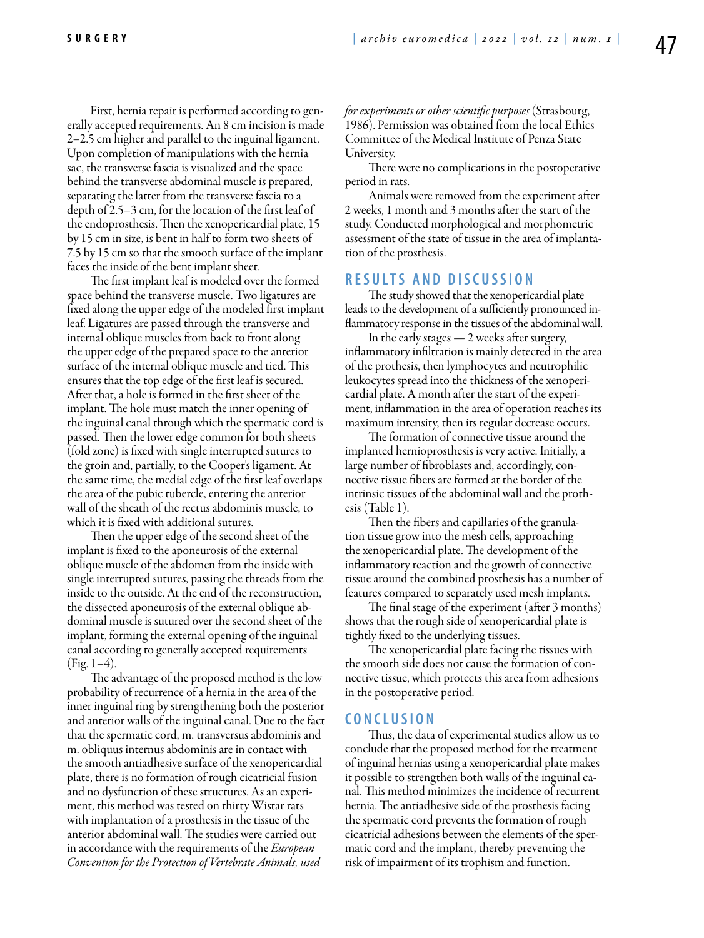First, hernia repair is performed according to generally accepted requirements. An 8 cm incision is made 2–2.5 cm higher and parallel to the inguinal ligament. Upon completion of manipulations with the hernia sac, the transverse fascia is visualized and the space behind the transverse abdominal muscle is prepared, separating the latter from the transverse fascia to a depth of 2.5–3 cm, for the location of the first leaf of the endoprosthesis. Then the xenopericardial plate, 15 by 15 cm in size, is bent in half to form two sheets of 7.5 by 15 cm so that the smooth surface of the implant faces the inside of the bent implant sheet.

The first implant leaf is modeled over the formed space behind the transverse muscle. Two ligatures are fixed along the upper edge of the modeled first implant leaf. Ligatures are passed through the transverse and internal oblique muscles from back to front along the upper edge of the prepared space to the anterior surface of the internal oblique muscle and tied. This ensures that the top edge of the first leaf is secured. After that, a hole is formed in the first sheet of the implant. The hole must match the inner opening of the inguinal canal through which the spermatic cord is passed. Then the lower edge common for both sheets (fold zone) is fixed with single interrupted sutures to the groin and, partially, to the Cooper's ligament. At the same time, the medial edge of the first leaf overlaps the area of the pubic tubercle, entering the anterior wall of the sheath of the rectus abdominis muscle, to which it is fixed with additional sutures.

Then the upper edge of the second sheet of the implant is fixed to the aponeurosis of the external oblique muscle of the abdomen from the inside with single interrupted sutures, passing the threads from the inside to the outside. At the end of the reconstruction, the dissected aponeurosis of the external oblique abdominal muscle is sutured over the second sheet of the implant, forming the external opening of the inguinal canal according to generally accepted requirements  $(Fig. 1-4)$ .

The advantage of the proposed method is the low probability of recurrence of a hernia in the area of the inner inguinal ring by strengthening both the posterior and anterior walls of the inguinal canal. Due to the fact that the spermatic cord, m. transversus abdominis and m. obliquus internus abdominis are in contact with the smooth antiadhesive surface of the xenopericardial plate, there is no formation of rough cicatricial fusion and no dysfunction of these structures. As an experiment, this method was tested on thirty Wistar rats with implantation of a prosthesis in the tissue of the anterior abdominal wall. The studies were carried out in accordance with the requirements of the *European Convention for the Protection of Vertebrate Animals, used* 

*for experiments or other scientific purposes* (Strasbourg, 1986). Permission was obtained from the local Ethics Committee of the Medical Institute of Penza State University.

There were no complications in the postoperative period in rats.

Animals were removed from the experiment after 2 weeks, 1 month and 3 months after the start of the study. Conducted morphological and morphometric assessment of the state of tissue in the area of implantation of the prosthesis.

## **RESULTS AND DISCUSSION**

The study showed that the xenopericardial plate leads to the development of a sufficiently pronounced inflammatory response in the tissues of the abdominal wall.

In the early stages — 2 weeks after surgery, inflammatory infiltration is mainly detected in the area of the prothesis, then lymphocytes and neutrophilic leukocytes spread into the thickness of the xenopericardial plate. A month after the start of the experiment, inflammation in the area of operation reaches its maximum intensity, then its regular decrease occurs.

The formation of connective tissue around the implanted hernioprosthesis is very active. Initially, a large number of fibroblasts and, accordingly, connective tissue fibers are formed at the border of the intrinsic tissues of the abdominal wall and the prothesis (Table 1).

Then the fibers and capillaries of the granulation tissue grow into the mesh cells, approaching the xenopericardial plate. The development of the inflammatory reaction and the growth of connective tissue around the combined prosthesis has a number of features compared to separately used mesh implants.

The final stage of the experiment (after 3 months) shows that the rough side of xenopericardial plate is tightly fixed to the underlying tissues.

The xenopericardial plate facing the tissues with the smooth side does not cause the formation of connective tissue, which protects this area from adhesions in the postoperative period.

#### **C o n cl u s i o n**

Thus, the data of experimental studies allow us to conclude that the proposed method for the treatment of inguinal hernias using a xenopericardial plate makes it possible to strengthen both walls of the inguinal canal. This method minimizes the incidence of recurrent hernia. The antiadhesive side of the prosthesis facing the spermatic cord prevents the formation of rough cicatricial adhesions between the elements of the spermatic cord and the implant, thereby preventing the risk of impairment of its trophism and function.